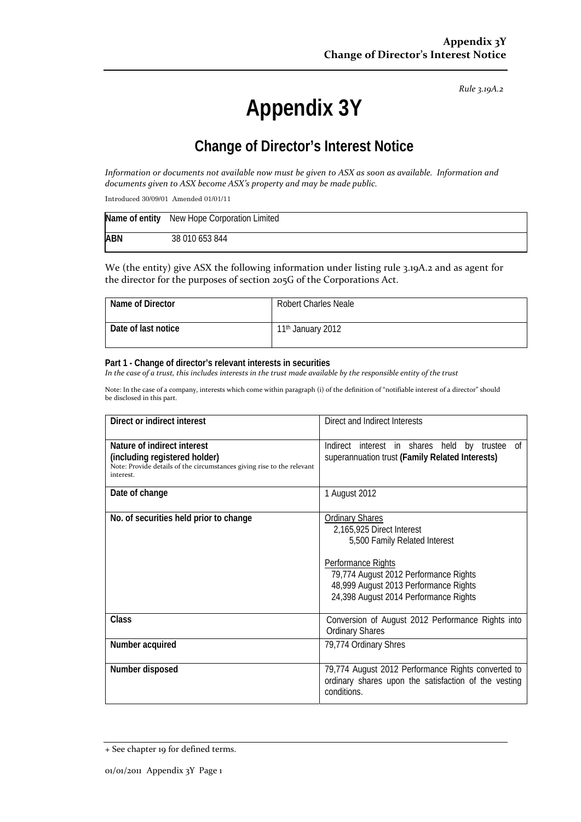*Rule 3.19A.2*

# **Appendix 3Y**

# **Change of Director's Interest Notice**

Information or documents not available now must be given to ASX as soon as available. Information and *documents given to ASX become ASX's property and may be made public.*

Introduced 30/09/01 Amended 01/01/11

|            | Name of entity New Hope Corporation Limited |
|------------|---------------------------------------------|
| <b>ABN</b> | 38 010 653 844                              |

We (the entity) give ASX the following information under listing rule 3.19A.2 and as agent for the director for the purposes of section 205G of the Corporations Act.

| Name of Director    | <b>Robert Charles Neale</b>   |
|---------------------|-------------------------------|
| Date of last notice | 11 <sup>th</sup> January 2012 |

#### **Part 1 - Change of director's relevant interests in securities**

In the case of a trust, this includes interests in the trust made available by the responsible entity of the trust

Note: In the case of a company, interests which come within paragraph (i) of the definition of "notifiable interest of a director" should be disclosed in this part.

| Direct or indirect interest                                                                                                                         | Direct and Indirect Interests                                                                                                                                                                                                         |
|-----------------------------------------------------------------------------------------------------------------------------------------------------|---------------------------------------------------------------------------------------------------------------------------------------------------------------------------------------------------------------------------------------|
| Nature of indirect interest<br>(including registered holder)<br>Note: Provide details of the circumstances giving rise to the relevant<br>interest. | Indirect interest in shares held by trustee of<br>superannuation trust (Family Related Interests)                                                                                                                                     |
| Date of change                                                                                                                                      | 1 August 2012                                                                                                                                                                                                                         |
| No. of securities held prior to change                                                                                                              | <b>Ordinary Shares</b><br>2,165,925 Direct Interest<br>5,500 Family Related Interest<br>Performance Rights<br>79,774 August 2012 Performance Rights<br>48,999 August 2013 Performance Rights<br>24,398 August 2014 Performance Rights |
| <b>Class</b>                                                                                                                                        | Conversion of August 2012 Performance Rights into<br><b>Ordinary Shares</b>                                                                                                                                                           |
| Number acquired                                                                                                                                     | 79,774 Ordinary Shres                                                                                                                                                                                                                 |
| Number disposed                                                                                                                                     | 79,774 August 2012 Performance Rights converted to<br>ordinary shares upon the satisfaction of the vesting<br>conditions.                                                                                                             |

<sup>+</sup> See chapter 19 for defined terms.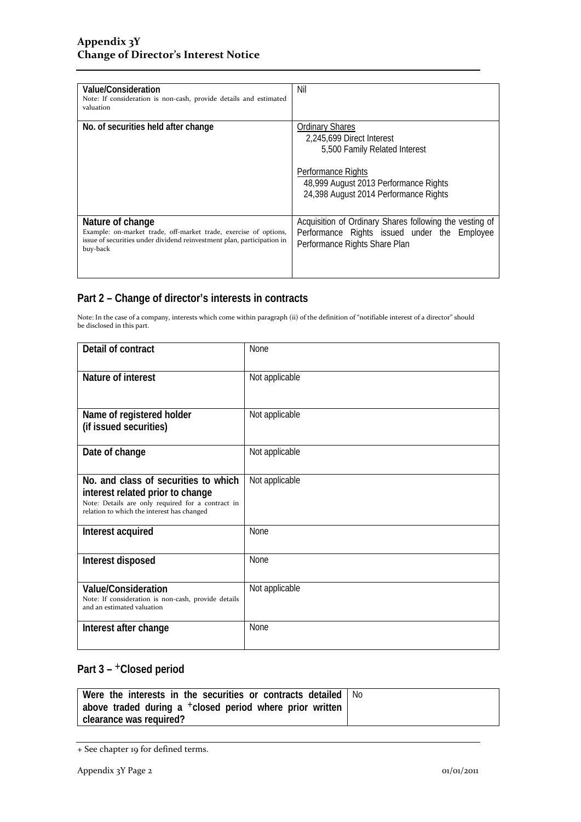| Value/Consideration<br>Note: If consideration is non-cash, provide details and estimated<br>valuation                                                                      | Nil                                                                                                                                                                                          |
|----------------------------------------------------------------------------------------------------------------------------------------------------------------------------|----------------------------------------------------------------------------------------------------------------------------------------------------------------------------------------------|
| No. of securities held after change                                                                                                                                        | <b>Ordinary Shares</b><br>2.245.699 Direct Interest<br>5,500 Family Related Interest<br>Performance Rights<br>48,999 August 2013 Performance Rights<br>24,398 August 2014 Performance Rights |
| Nature of change<br>Example: on-market trade, off-market trade, exercise of options,<br>issue of securities under dividend reinvestment plan, participation in<br>buy-back | Acquisition of Ordinary Shares following the vesting of<br>Performance Rights issued under the Employee<br>Performance Rights Share Plan                                                     |

## **Part 2 – Change of director's interests in contracts**

Note: In the case of a company, interests which come within paragraph (ii) of the definition of "notifiable interest of a director" should be disclosed in this part.

| Detail of contract                                                                                                                                                          | <b>None</b>    |  |
|-----------------------------------------------------------------------------------------------------------------------------------------------------------------------------|----------------|--|
| Nature of interest                                                                                                                                                          | Not applicable |  |
| Name of registered holder<br>(if issued securities)                                                                                                                         | Not applicable |  |
| Date of change                                                                                                                                                              | Not applicable |  |
| No. and class of securities to which<br>interest related prior to change<br>Note: Details are only required for a contract in<br>relation to which the interest has changed | Not applicable |  |
| Interest acquired                                                                                                                                                           | <b>None</b>    |  |
| Interest disposed                                                                                                                                                           | None           |  |
| <b>Value/Consideration</b><br>Note: If consideration is non-cash, provide details<br>and an estimated valuation                                                             | Not applicable |  |
| Interest after change                                                                                                                                                       | None           |  |

### Part 3 - <sup>+</sup>Closed period

| Were the interests in the securities or contracts detailed   No |  |
|-----------------------------------------------------------------|--|
| above traded during a $+$ closed period where prior written     |  |
| clearance was required?                                         |  |

<sup>+</sup> See chapter 19 for defined terms.